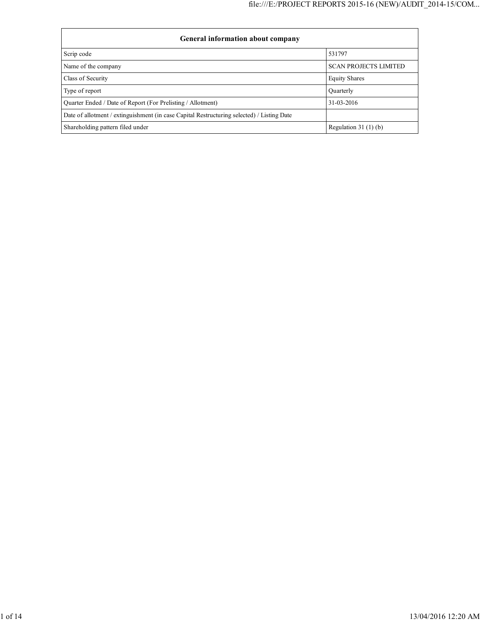| General information about company                                                          |                              |  |  |  |  |  |
|--------------------------------------------------------------------------------------------|------------------------------|--|--|--|--|--|
| Scrip code                                                                                 | 531797                       |  |  |  |  |  |
| Name of the company                                                                        | <b>SCAN PROJECTS LIMITED</b> |  |  |  |  |  |
| Class of Security                                                                          | <b>Equity Shares</b>         |  |  |  |  |  |
| Type of report                                                                             | Ouarterly                    |  |  |  |  |  |
| Quarter Ended / Date of Report (For Prelisting / Allotment)                                | 31-03-2016                   |  |  |  |  |  |
| Date of allotment / extinguishment (in case Capital Restructuring selected) / Listing Date |                              |  |  |  |  |  |
| Shareholding pattern filed under                                                           | Regulation $31(1)(b)$        |  |  |  |  |  |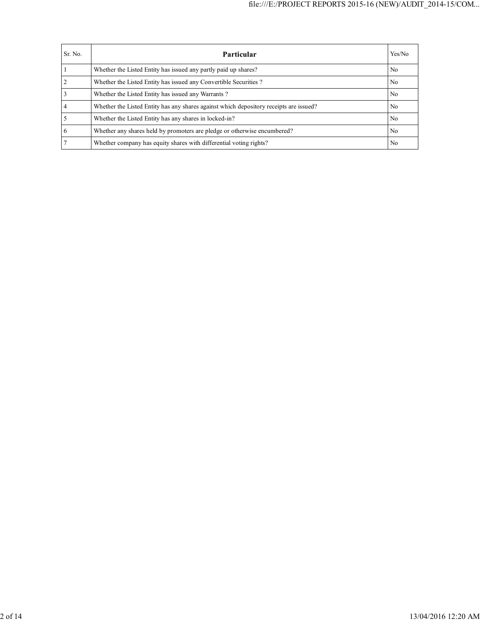| Sr. No. | Particular                                                                             | Yes/No         |
|---------|----------------------------------------------------------------------------------------|----------------|
|         | Whether the Listed Entity has issued any partly paid up shares?                        | No             |
|         | Whether the Listed Entity has issued any Convertible Securities?                       | N <sub>0</sub> |
|         | Whether the Listed Entity has issued any Warrants?                                     | No             |
|         | Whether the Listed Entity has any shares against which depository receipts are issued? | No             |
|         | Whether the Listed Entity has any shares in locked-in?                                 | No             |
| 6       | Whether any shares held by promoters are pledge or otherwise encumbered?               | No             |
|         | Whether company has equity shares with differential voting rights?                     | No             |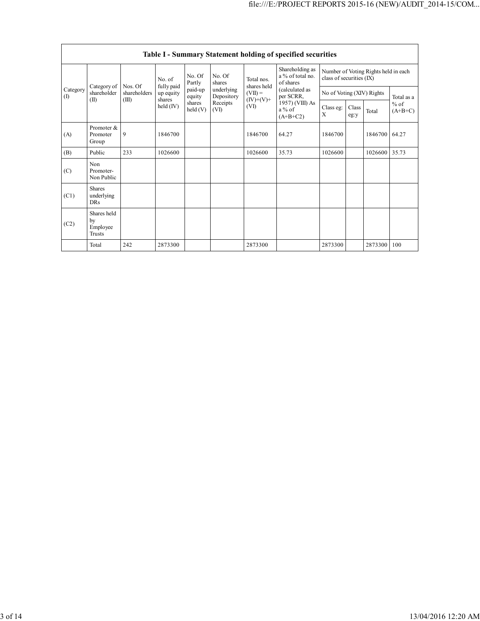|                 | Table I - Summary Statement holding of specified securities |                         |                                   |                            |                          |                           |                                                                                                                              |                                                                  |                           |         |                     |
|-----------------|-------------------------------------------------------------|-------------------------|-----------------------------------|----------------------------|--------------------------|---------------------------|------------------------------------------------------------------------------------------------------------------------------|------------------------------------------------------------------|---------------------------|---------|---------------------|
| Category<br>(1) |                                                             |                         | No. of                            | No. Of<br>Partly           | No. Of<br>shares         | Total nos.<br>shares held | Shareholding as<br>a % of total no.<br>of shares<br>(calculated as<br>per SCRR,<br>1957) (VIII) As<br>$a\%$ of<br>$(A+B+C2)$ | Number of Voting Rights held in each<br>class of securities (IX) |                           |         |                     |
|                 | Category of<br>shareholder                                  | Nos. Of<br>shareholders | fully paid<br>up equity<br>shares | paid-up<br>equity          | underlying<br>Depository | $(VII) =$<br>$(IV)+(V)+$  |                                                                                                                              |                                                                  | No of Voting (XIV) Rights |         | Total as a          |
|                 | (II)                                                        | (III)                   | held (IV)                         | shares<br>$\text{held}(V)$ | Receipts<br>(VI)         | (VI)                      |                                                                                                                              | Class eg:<br>X                                                   | Class<br>eg:y             | Total   | $%$ of<br>$(A+B+C)$ |
| (A)             | Promoter &<br>Promoter<br>Group                             | 9                       | 1846700                           |                            |                          | 1846700                   | 64.27                                                                                                                        | 1846700                                                          |                           | 1846700 | 64.27               |
| (B)             | Public                                                      | 233                     | 1026600                           |                            |                          | 1026600                   | 35.73                                                                                                                        | 1026600                                                          |                           | 1026600 | 35.73               |
| (C)             | Non<br>Promoter-<br>Non Public                              |                         |                                   |                            |                          |                           |                                                                                                                              |                                                                  |                           |         |                     |
| (C1)            | <b>Shares</b><br>underlying<br><b>DRs</b>                   |                         |                                   |                            |                          |                           |                                                                                                                              |                                                                  |                           |         |                     |
| (C2)            | Shares held<br>by<br>Employee<br><b>Trusts</b>              |                         |                                   |                            |                          |                           |                                                                                                                              |                                                                  |                           |         |                     |
|                 | Total                                                       | 242                     | 2873300                           |                            |                          | 2873300                   |                                                                                                                              | 2873300                                                          |                           | 2873300 | 100                 |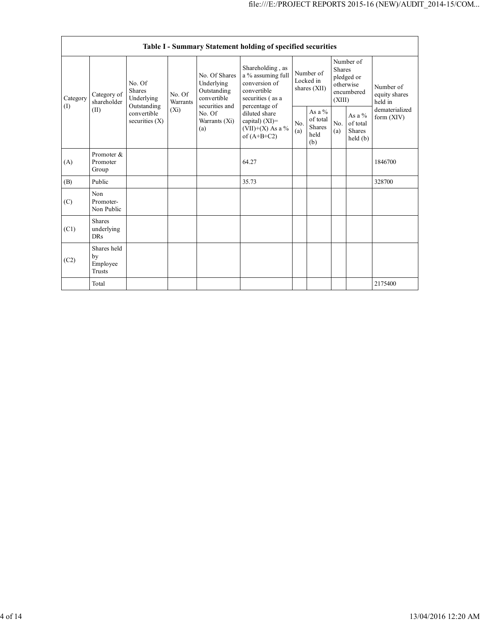| Table I - Summary Statement holding of specified securities |                                           |                                                                                         |                               |                                                                                                                 |                                                                                                                                                                                          |                                        |                                                      |                                                                               |                                                  |                                       |
|-------------------------------------------------------------|-------------------------------------------|-----------------------------------------------------------------------------------------|-------------------------------|-----------------------------------------------------------------------------------------------------------------|------------------------------------------------------------------------------------------------------------------------------------------------------------------------------------------|----------------------------------------|------------------------------------------------------|-------------------------------------------------------------------------------|--------------------------------------------------|---------------------------------------|
| Category<br>(1)                                             | Category of<br>shareholder<br>(II)        | No. Of<br><b>Shares</b><br>Underlying<br>Outstanding<br>convertible<br>securities $(X)$ | No. Of<br>Warrants<br>$(X_i)$ | No. Of Shares<br>Underlying<br>Outstanding<br>convertible<br>securities and<br>No. Of<br>Warrants $(Xi)$<br>(a) | Shareholding, as<br>a % assuming full<br>conversion of<br>convertible<br>securities (as a<br>percentage of<br>diluted share<br>capital) $(XI)$ =<br>(VII)+(X) As a $\%$<br>of $(A+B+C2)$ | Number of<br>Locked in<br>shares (XII) |                                                      | Number of<br><b>Shares</b><br>pledged or<br>otherwise<br>encumbered<br>(XIII) |                                                  | Number of<br>equity shares<br>held in |
|                                                             |                                           |                                                                                         |                               |                                                                                                                 |                                                                                                                                                                                          | No.<br>(a)                             | As a $%$<br>of total<br><b>Shares</b><br>held<br>(b) | No.<br>(a)                                                                    | As a $%$<br>of total<br><b>Shares</b><br>held(b) | dematerialized<br>form (XIV)          |
| (A)                                                         | Promoter &<br>Promoter<br>Group           |                                                                                         |                               |                                                                                                                 | 64.27                                                                                                                                                                                    |                                        |                                                      |                                                                               |                                                  | 1846700                               |
| (B)                                                         | Public                                    |                                                                                         |                               |                                                                                                                 | 35.73                                                                                                                                                                                    |                                        |                                                      |                                                                               |                                                  | 328700                                |
| (C)                                                         | Non<br>Promoter-<br>Non Public            |                                                                                         |                               |                                                                                                                 |                                                                                                                                                                                          |                                        |                                                      |                                                                               |                                                  |                                       |
| (C1)                                                        | <b>Shares</b><br>underlying<br><b>DRs</b> |                                                                                         |                               |                                                                                                                 |                                                                                                                                                                                          |                                        |                                                      |                                                                               |                                                  |                                       |
| (C2)                                                        | Shares held<br>by<br>Employee<br>Trusts   |                                                                                         |                               |                                                                                                                 |                                                                                                                                                                                          |                                        |                                                      |                                                                               |                                                  |                                       |
|                                                             | Total                                     |                                                                                         |                               |                                                                                                                 |                                                                                                                                                                                          |                                        |                                                      |                                                                               |                                                  | 2175400                               |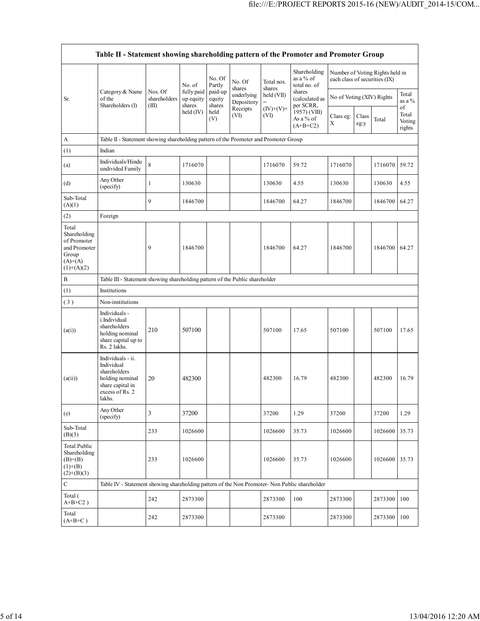| Table II - Statement showing shareholding pattern of the Promoter and Promoter Group        |                                                                                                                     |                                  |                                   |                                            |                                              |                                                           |                                                                                                                               |                                                                  |               |               |                                 |
|---------------------------------------------------------------------------------------------|---------------------------------------------------------------------------------------------------------------------|----------------------------------|-----------------------------------|--------------------------------------------|----------------------------------------------|-----------------------------------------------------------|-------------------------------------------------------------------------------------------------------------------------------|------------------------------------------------------------------|---------------|---------------|---------------------------------|
|                                                                                             |                                                                                                                     |                                  | No. of                            | No. Of<br>Partly                           | No. Of<br>shares                             | Total nos.<br>shares<br>held (VII)<br>$(IV)+(V)+$<br>(VI) | Shareholding<br>as a % of<br>total no. of<br>shares<br>(calculated as<br>per SCRR,<br>1957) (VIII)<br>As a % of<br>$(A+B+C2)$ | Number of Voting Rights held in<br>each class of securities (IX) |               |               |                                 |
| Sr.                                                                                         | Category & Name<br>of the<br>Shareholders (I)                                                                       | Nos. Of<br>shareholders<br>(III) | fully paid<br>up equity<br>shares | paid-up<br>equity<br>shares<br>held<br>(V) | underlying<br>Depository<br>Receipts<br>(VI) |                                                           |                                                                                                                               | No of Voting (XIV) Rights                                        |               |               | Total<br>as a $%$               |
|                                                                                             |                                                                                                                     |                                  | held $(IV)$                       |                                            |                                              |                                                           |                                                                                                                               | Class eg:<br>X                                                   | Class<br>eg:y | Total         | of<br>Total<br>Voting<br>rights |
| A                                                                                           | Table II - Statement showing shareholding pattern of the Promoter and Promoter Group                                |                                  |                                   |                                            |                                              |                                                           |                                                                                                                               |                                                                  |               |               |                                 |
| (1)                                                                                         | Indian                                                                                                              |                                  |                                   |                                            |                                              |                                                           |                                                                                                                               |                                                                  |               |               |                                 |
| (a)                                                                                         | Individuals/Hindu<br>undivided Family                                                                               | 8                                | 1716070                           |                                            |                                              | 1716070                                                   | 59.72                                                                                                                         | 1716070                                                          |               | 1716070       | 59.72                           |
| (d)                                                                                         | Any Other<br>(specify)                                                                                              | $\mathbf{1}$                     | 130630                            |                                            |                                              | 130630                                                    | 4.55                                                                                                                          | 130630                                                           |               | 130630        | 4.55                            |
| Sub-Total<br>(A)(1)                                                                         |                                                                                                                     | 9                                | 1846700                           |                                            |                                              | 1846700                                                   | 64.27                                                                                                                         | 1846700                                                          |               | 1846700 64.27 |                                 |
| (2)                                                                                         | Foreign                                                                                                             |                                  |                                   |                                            |                                              |                                                           |                                                                                                                               |                                                                  |               |               |                                 |
| Total<br>Shareholding<br>of Promoter<br>and Promoter<br>Group<br>$(A)= (A)$<br>$(1)+(A)(2)$ |                                                                                                                     | 9                                | 1846700                           |                                            |                                              | 1846700                                                   | 64.27                                                                                                                         | 1846700                                                          |               | 1846700 64.27 |                                 |
| $\, {\bf B}$                                                                                | Table III - Statement showing shareholding pattern of the Public shareholder                                        |                                  |                                   |                                            |                                              |                                                           |                                                                                                                               |                                                                  |               |               |                                 |
| (1)                                                                                         | Institutions                                                                                                        |                                  |                                   |                                            |                                              |                                                           |                                                                                                                               |                                                                  |               |               |                                 |
| (3)                                                                                         | Non-institutions                                                                                                    |                                  |                                   |                                            |                                              |                                                           |                                                                                                                               |                                                                  |               |               |                                 |
| (a(i))                                                                                      | Individuals -<br>i.Individual<br>shareholders<br>holding nominal<br>share capital up to<br>Rs. 2 lakhs.             | 210                              | 507100                            |                                            |                                              | 507100                                                    | 17.65                                                                                                                         | 507100                                                           |               | 507100        | 17.65                           |
| (a(ii))                                                                                     | Individuals - ii.<br>Individual<br>shareholders<br>holding nominal<br>share capital in<br>excess of Rs. 2<br>lakhs. | 20                               | 482300                            |                                            |                                              | 482300                                                    | 16.79                                                                                                                         | 482300                                                           |               | 482300        | 16.79                           |
| (e)                                                                                         | Any Other<br>(specify)                                                                                              | 3                                | 37200                             |                                            |                                              | 37200                                                     | 1.29                                                                                                                          | 37200                                                            |               | 37200         | 1.29                            |
| Sub-Total<br>(B)(3)                                                                         |                                                                                                                     | 233                              | 1026600                           |                                            |                                              | 1026600                                                   | 35.73                                                                                                                         | 1026600                                                          |               | 1026600       | 35.73                           |
| <b>Total Public</b><br>Shareholding<br>$(B)= (B)$<br>$(1)+(B)$<br>$(2)+(B)(3)$              |                                                                                                                     | 233                              | 1026600                           |                                            |                                              | 1026600                                                   | 35.73                                                                                                                         | 1026600                                                          |               | 1026600 35.73 |                                 |
| ${\bf C}$                                                                                   | Table IV - Statement showing shareholding pattern of the Non Promoter- Non Public shareholder                       |                                  |                                   |                                            |                                              |                                                           |                                                                                                                               |                                                                  |               |               |                                 |
| Total (<br>$A+B+C2$ )                                                                       |                                                                                                                     | 242                              | 2873300                           |                                            |                                              | 2873300                                                   | 100                                                                                                                           | 2873300                                                          |               | 2873300       | 100                             |
| Total<br>$(A+B+C)$                                                                          |                                                                                                                     | 242                              | 2873300                           |                                            |                                              | 2873300                                                   |                                                                                                                               | 2873300                                                          |               | 2873300       | 100                             |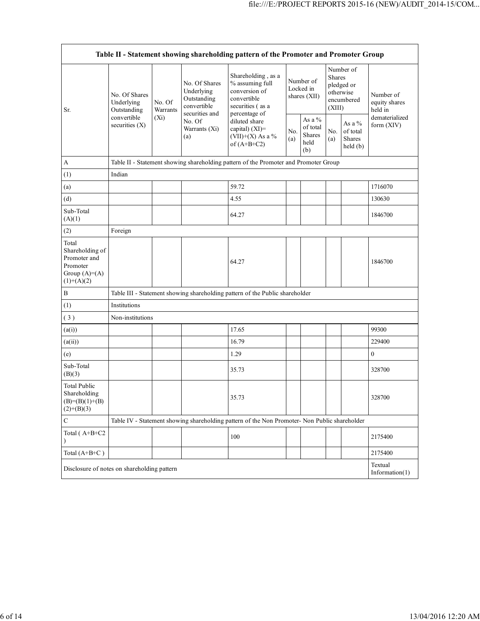| Table II - Statement showing shareholding pattern of the Promoter and Promoter Group     |                                                                               |                    |                                                                             |                                                                                                            |                                        |                                             |                                                                        |                                           |                                       |
|------------------------------------------------------------------------------------------|-------------------------------------------------------------------------------|--------------------|-----------------------------------------------------------------------------|------------------------------------------------------------------------------------------------------------|----------------------------------------|---------------------------------------------|------------------------------------------------------------------------|-------------------------------------------|---------------------------------------|
| Sr.                                                                                      | No. Of Shares<br>Underlying<br>Outstanding<br>convertible<br>securities $(X)$ | No. Of<br>Warrants | No. Of Shares<br>Underlying<br>Outstanding<br>convertible<br>securities and | Shareholding, as a<br>% assuming full<br>conversion of<br>convertible<br>securities (as a<br>percentage of | Number of<br>Locked in<br>shares (XII) |                                             | Number of<br>Shares<br>pledged or<br>otherwise<br>encumbered<br>(XIII) |                                           | Number of<br>equity shares<br>held in |
|                                                                                          |                                                                               | $(X_i)$            | No. Of<br>Warrants (Xi)<br>(a)                                              | diluted share<br>capital) $(XI)$ =<br>(VII)+(X) As a %<br>of $(A+B+C2)$                                    | No.<br>(a)                             | As a %<br>of total<br>Shares<br>held<br>(b) | No.<br>(a)                                                             | As a $%$<br>of total<br>Shares<br>held(b) | dematerialized<br>form (XIV)          |
| $\boldsymbol{A}$                                                                         |                                                                               |                    |                                                                             | Table II - Statement showing shareholding pattern of the Promoter and Promoter Group                       |                                        |                                             |                                                                        |                                           |                                       |
| (1)                                                                                      | Indian                                                                        |                    |                                                                             |                                                                                                            |                                        |                                             |                                                                        |                                           |                                       |
| (a)                                                                                      |                                                                               |                    |                                                                             | 59.72                                                                                                      |                                        |                                             |                                                                        |                                           | 1716070                               |
| (d)                                                                                      |                                                                               |                    |                                                                             | 4.55                                                                                                       |                                        |                                             |                                                                        |                                           | 130630                                |
| Sub-Total<br>(A)(1)                                                                      |                                                                               |                    |                                                                             | 64.27                                                                                                      |                                        |                                             |                                                                        |                                           | 1846700                               |
| (2)                                                                                      | Foreign                                                                       |                    |                                                                             |                                                                                                            |                                        |                                             |                                                                        |                                           |                                       |
| Total<br>Shareholding of<br>Promoter and<br>Promoter<br>Group $(A)= (A)$<br>$(1)+(A)(2)$ |                                                                               |                    |                                                                             | 64.27                                                                                                      |                                        |                                             |                                                                        |                                           | 1846700                               |
| $\, {\bf B}$                                                                             |                                                                               |                    |                                                                             | Table III - Statement showing shareholding pattern of the Public shareholder                               |                                        |                                             |                                                                        |                                           |                                       |
| (1)                                                                                      | Institutions                                                                  |                    |                                                                             |                                                                                                            |                                        |                                             |                                                                        |                                           |                                       |
| (3)                                                                                      | Non-institutions                                                              |                    |                                                                             |                                                                                                            |                                        |                                             |                                                                        |                                           |                                       |
| (a(i))                                                                                   |                                                                               |                    |                                                                             | 17.65                                                                                                      |                                        |                                             |                                                                        |                                           | 99300                                 |
| (a(ii))                                                                                  |                                                                               |                    |                                                                             | 16.79                                                                                                      |                                        |                                             |                                                                        |                                           | 229400                                |
| (e)                                                                                      |                                                                               |                    |                                                                             | 1.29                                                                                                       |                                        |                                             |                                                                        |                                           | $\mathbf{0}$                          |
| Sub-Total<br>(B)(3)                                                                      |                                                                               |                    |                                                                             | 35.73                                                                                                      |                                        |                                             |                                                                        |                                           | 328700                                |
| <b>Total Public</b><br>Shareholding<br>$(B)= (B)(1)+(B)$<br>$(2)+(B)(3)$                 |                                                                               |                    |                                                                             | 35.73                                                                                                      |                                        |                                             |                                                                        |                                           | 328700                                |
| $\mathsf C$                                                                              |                                                                               |                    |                                                                             | Table IV - Statement showing shareholding pattern of the Non Promoter- Non Public shareholder              |                                        |                                             |                                                                        |                                           |                                       |
| Total (A+B+C2                                                                            |                                                                               |                    |                                                                             | 100                                                                                                        |                                        |                                             |                                                                        |                                           | 2175400                               |
| Total $(A+B+C)$                                                                          |                                                                               |                    |                                                                             |                                                                                                            |                                        |                                             |                                                                        |                                           | 2175400                               |
|                                                                                          | Textual<br>Disclosure of notes on shareholding pattern<br>Information(1)      |                    |                                                                             |                                                                                                            |                                        |                                             |                                                                        |                                           |                                       |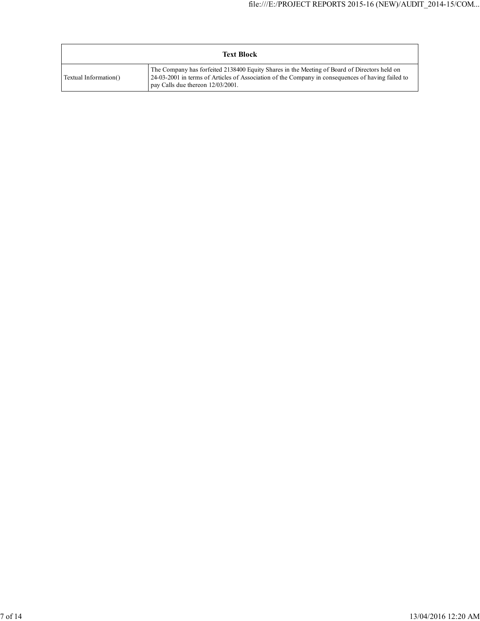|                       | <b>Text Block</b>                                                                                                                                                                                                                      |
|-----------------------|----------------------------------------------------------------------------------------------------------------------------------------------------------------------------------------------------------------------------------------|
| Textual Information() | The Company has forfeited 2138400 Equity Shares in the Meeting of Board of Directors held on<br>24-03-2001 in terms of Articles of Association of the Company in consequences of having failed to<br>pay Calls due thereon 12/03/2001. |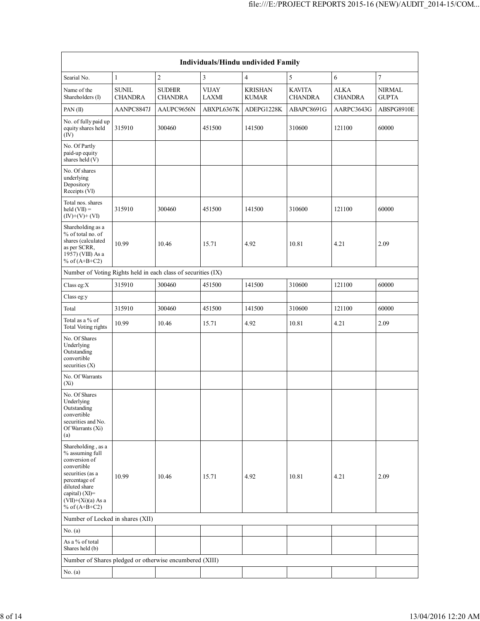|                                                                                                                                                                                          | Individuals/Hindu undivided Family |                                 |                              |                                |                                 |                               |                               |  |  |  |
|------------------------------------------------------------------------------------------------------------------------------------------------------------------------------------------|------------------------------------|---------------------------------|------------------------------|--------------------------------|---------------------------------|-------------------------------|-------------------------------|--|--|--|
| Searial No.                                                                                                                                                                              | $\mathbf{1}$                       | $\overline{\mathbf{c}}$         | 3                            | $\overline{4}$                 | 5                               | 6                             | $\tau$                        |  |  |  |
| Name of the<br>Shareholders (I)                                                                                                                                                          | <b>SUNIL</b><br><b>CHANDRA</b>     | <b>SUDHIR</b><br><b>CHANDRA</b> | <b>VIJAY</b><br><b>LAXMI</b> | <b>KRISHAN</b><br><b>KUMAR</b> | <b>KAVITA</b><br><b>CHANDRA</b> | <b>ALKA</b><br><b>CHANDRA</b> | <b>NIRMAL</b><br><b>GUPTA</b> |  |  |  |
| PAN $(II)$                                                                                                                                                                               | AANPC8847J                         | AAUPC9656N                      | ABXPL6367K                   | ADEPG1228K                     | ABAPC8691G                      | AARPC3643G                    | ABSPG8910E                    |  |  |  |
| No. of fully paid up<br>equity shares held<br>$(\bar{IV})$                                                                                                                               | 315910                             | 300460                          | 451500                       | 141500                         | 310600                          | 121100                        | 60000                         |  |  |  |
| No. Of Partly<br>paid-up equity<br>shares held (V)                                                                                                                                       |                                    |                                 |                              |                                |                                 |                               |                               |  |  |  |
| No. Of shares<br>underlying<br>Depository<br>Receipts (VI)                                                                                                                               |                                    |                                 |                              |                                |                                 |                               |                               |  |  |  |
| Total nos. shares<br>held $(VII) =$<br>$(IV)+(V)+(VI)$                                                                                                                                   | 315910                             | 300460                          | 451500                       | 141500                         | 310600                          | 121100                        | 60000                         |  |  |  |
| Shareholding as a<br>% of total no. of<br>shares (calculated<br>as per SCRR,<br>1957) (VIII) As a<br>% of $(A+B+C2)$                                                                     | 10.99                              | 10.46                           | 15.71                        | 4.92                           | 10.81                           | 4.21                          | 2.09                          |  |  |  |
| Number of Voting Rights held in each class of securities (IX)                                                                                                                            |                                    |                                 |                              |                                |                                 |                               |                               |  |  |  |
| Class eg:X                                                                                                                                                                               | 315910                             | 300460                          | 451500                       | 141500                         | 310600                          | 121100                        | 60000                         |  |  |  |
| Class eg:y                                                                                                                                                                               |                                    |                                 |                              |                                |                                 |                               |                               |  |  |  |
| Total                                                                                                                                                                                    | 315910                             | 300460                          | 451500                       | 141500                         | 310600                          | 121100                        | 60000                         |  |  |  |
| Total as a % of<br><b>Total Voting rights</b>                                                                                                                                            | 10.99                              | 10.46                           | 15.71                        | 4.92                           | 10.81                           | 4.21                          | 2.09                          |  |  |  |
| No. Of Shares<br>Underlying<br>Outstanding<br>convertible<br>securities $(X)$                                                                                                            |                                    |                                 |                              |                                |                                 |                               |                               |  |  |  |
| No. Of Warrants<br>$(X_i)$                                                                                                                                                               |                                    |                                 |                              |                                |                                 |                               |                               |  |  |  |
| No. Of Shares<br>Underlying<br>Outstanding<br>convertible<br>securities and No.<br>Of Warrants (Xi)<br>(a)                                                                               |                                    |                                 |                              |                                |                                 |                               |                               |  |  |  |
| Shareholding, as a<br>% assuming full<br>conversion of<br>convertible<br>securities (as a<br>percentage of<br>diluted share<br>capital) (XI)=<br>$(VII)+(Xi)(a)$ As a<br>% of $(A+B+C2)$ | 10.99                              | 10.46                           | 15.71                        | 4.92                           | 10.81                           | 4.21                          | 2.09                          |  |  |  |
| Number of Locked in shares (XII)                                                                                                                                                         |                                    |                                 |                              |                                |                                 |                               |                               |  |  |  |
| No. (a)                                                                                                                                                                                  |                                    |                                 |                              |                                |                                 |                               |                               |  |  |  |
| As a % of total<br>Shares held (b)                                                                                                                                                       |                                    |                                 |                              |                                |                                 |                               |                               |  |  |  |
| Number of Shares pledged or otherwise encumbered (XIII)                                                                                                                                  |                                    |                                 |                              |                                |                                 |                               |                               |  |  |  |
| No. (a)                                                                                                                                                                                  |                                    |                                 |                              |                                |                                 |                               |                               |  |  |  |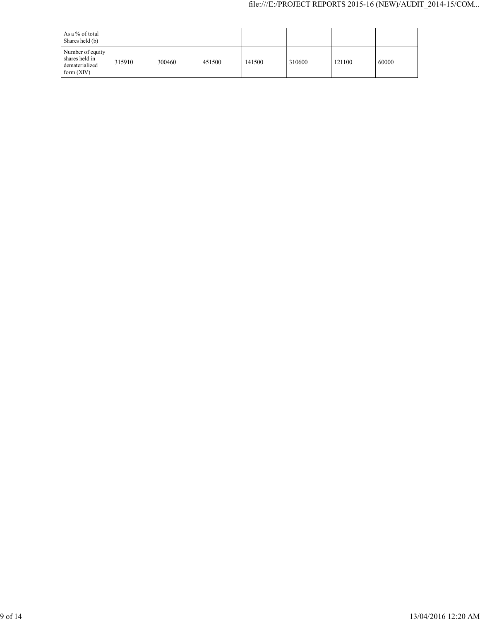| As a % of total<br>Shares held (b)                                   |        |        |        |        |        |        |       |
|----------------------------------------------------------------------|--------|--------|--------|--------|--------|--------|-------|
| Number of equity<br>shares held in<br>dematerialized<br>form $(XIV)$ | 315910 | 300460 | 451500 | 141500 | 310600 | 121100 | 60000 |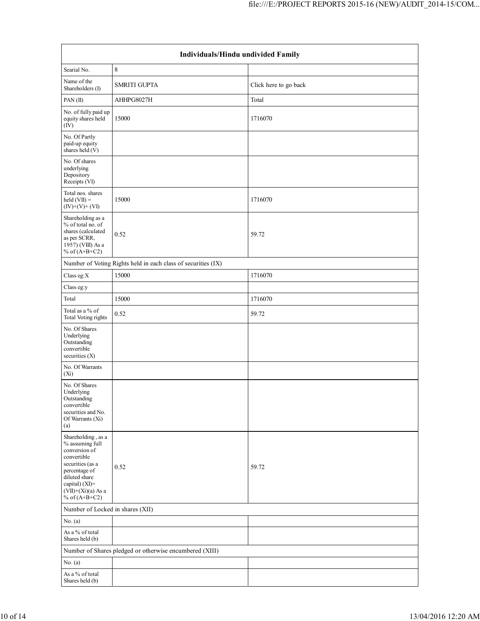| Individuals/Hindu undivided Family                                                                                                                                                       |                                                               |                       |  |  |  |  |  |
|------------------------------------------------------------------------------------------------------------------------------------------------------------------------------------------|---------------------------------------------------------------|-----------------------|--|--|--|--|--|
| Searial No.                                                                                                                                                                              | $\,8\,$                                                       |                       |  |  |  |  |  |
| Name of the<br>Shareholders (I)                                                                                                                                                          | <b>SMRITI GUPTA</b>                                           | Click here to go back |  |  |  |  |  |
| PAN(II)                                                                                                                                                                                  | AHHPG8027H                                                    | Total                 |  |  |  |  |  |
| No. of fully paid up<br>equity shares held<br>(IV)                                                                                                                                       | 15000                                                         | 1716070               |  |  |  |  |  |
| No. Of Partly<br>paid-up equity<br>shares held $(V)$                                                                                                                                     |                                                               |                       |  |  |  |  |  |
| No. Of shares<br>underlying<br>Depository<br>Receipts (VI)                                                                                                                               |                                                               |                       |  |  |  |  |  |
| Total nos. shares<br>held $(VII)$ =<br>$(IV)+(V)+(VI)$                                                                                                                                   | 15000                                                         | 1716070               |  |  |  |  |  |
| Shareholding as a<br>% of total no. of<br>shares (calculated<br>as per SCRR,<br>1957) (VIII) As a<br>% of $(A+B+C2)$                                                                     | 0.52                                                          | 59.72                 |  |  |  |  |  |
|                                                                                                                                                                                          | Number of Voting Rights held in each class of securities (IX) |                       |  |  |  |  |  |
| Class eg: $X$                                                                                                                                                                            | 15000                                                         | 1716070               |  |  |  |  |  |
| Class eg:y                                                                                                                                                                               |                                                               |                       |  |  |  |  |  |
| Total                                                                                                                                                                                    | 15000                                                         | 1716070               |  |  |  |  |  |
| Total as a % of<br>Total Voting rights                                                                                                                                                   | 0.52                                                          | 59.72                 |  |  |  |  |  |
| No. Of Shares<br>Underlying<br>Outstanding<br>convertible<br>securities (X)                                                                                                              |                                                               |                       |  |  |  |  |  |
| No. Of Warrants<br>$(X_i)$                                                                                                                                                               |                                                               |                       |  |  |  |  |  |
| No. Of Shares<br>Underlying<br>Outstanding<br>convertible<br>securities and No.<br>Of Warrants (Xi)<br>(a)                                                                               |                                                               |                       |  |  |  |  |  |
| Shareholding, as a<br>% assuming full<br>conversion of<br>convertible<br>securities (as a<br>percentage of<br>diluted share<br>capital) (XI)=<br>$(VII)+(Xi)(a)$ As a<br>% of $(A+B+C2)$ | 0.52                                                          | 59.72                 |  |  |  |  |  |
| Number of Locked in shares (XII)                                                                                                                                                         |                                                               |                       |  |  |  |  |  |
| No. (a)                                                                                                                                                                                  |                                                               |                       |  |  |  |  |  |
| As a % of total<br>Shares held (b)                                                                                                                                                       |                                                               |                       |  |  |  |  |  |
|                                                                                                                                                                                          | Number of Shares pledged or otherwise encumbered (XIII)       |                       |  |  |  |  |  |
| No. (a)                                                                                                                                                                                  |                                                               |                       |  |  |  |  |  |
| As a % of total<br>Shares held (b)                                                                                                                                                       |                                                               |                       |  |  |  |  |  |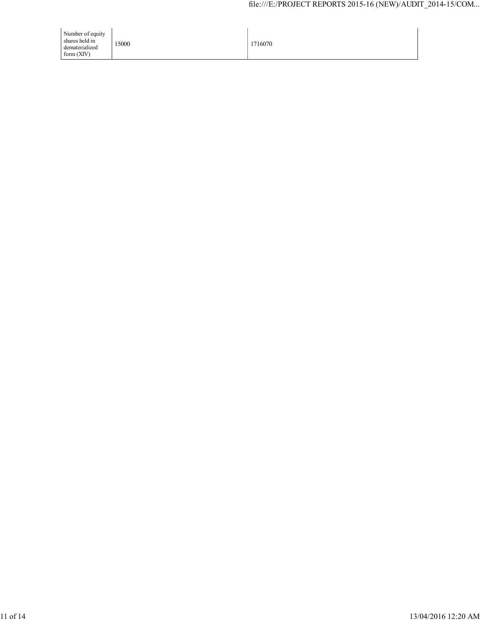| Number of equity<br>shares held in<br>dematerialized<br>form $(XIV)$ | 15000 | 1716070 |
|----------------------------------------------------------------------|-------|---------|
|----------------------------------------------------------------------|-------|---------|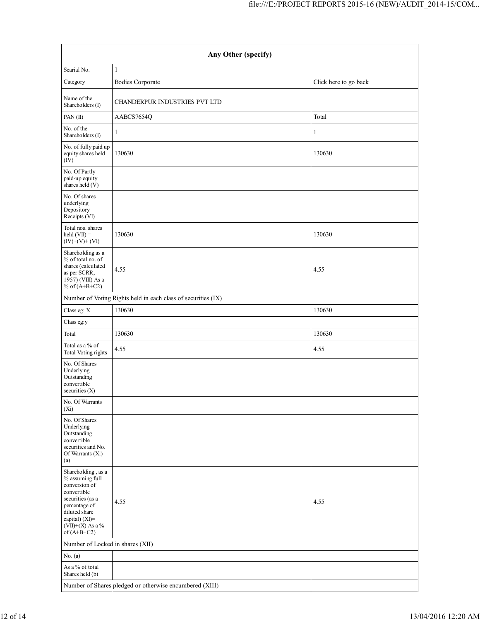| Any Other (specify)                                                                                                                                                                  |                                                               |                       |  |  |  |  |  |  |
|--------------------------------------------------------------------------------------------------------------------------------------------------------------------------------------|---------------------------------------------------------------|-----------------------|--|--|--|--|--|--|
| Searial No.                                                                                                                                                                          | $\mathbf{1}$                                                  |                       |  |  |  |  |  |  |
| Category                                                                                                                                                                             | <b>Bodies Corporate</b>                                       | Click here to go back |  |  |  |  |  |  |
| Name of the<br>Shareholders (I)                                                                                                                                                      | <b>CHANDERPUR INDUSTRIES PVT LTD</b>                          |                       |  |  |  |  |  |  |
| PAN(II)                                                                                                                                                                              | AABCS7654Q                                                    | Total                 |  |  |  |  |  |  |
| No. of the<br>Shareholders (I)                                                                                                                                                       | $\mathbf{1}$                                                  | 1                     |  |  |  |  |  |  |
| No. of fully paid up<br>equity shares held<br>(IV)                                                                                                                                   | 130630                                                        | 130630                |  |  |  |  |  |  |
| No. Of Partly<br>paid-up equity<br>shares held (V)                                                                                                                                   |                                                               |                       |  |  |  |  |  |  |
| No. Of shares<br>underlying<br>Depository<br>Receipts (VI)                                                                                                                           |                                                               |                       |  |  |  |  |  |  |
| Total nos. shares<br>held $(VII)$ =<br>$(IV)+(V)+(VI)$                                                                                                                               | 130630                                                        | 130630                |  |  |  |  |  |  |
| Shareholding as a<br>% of total no. of<br>shares (calculated<br>as per SCRR,<br>1957) (VIII) As a<br>% of $(A+B+C2)$                                                                 | 4.55                                                          | 4.55                  |  |  |  |  |  |  |
|                                                                                                                                                                                      | Number of Voting Rights held in each class of securities (IX) |                       |  |  |  |  |  |  |
| Class eg: X                                                                                                                                                                          | 130630                                                        | 130630                |  |  |  |  |  |  |
| Class eg:y                                                                                                                                                                           |                                                               |                       |  |  |  |  |  |  |
| Total                                                                                                                                                                                | 130630                                                        | 130630                |  |  |  |  |  |  |
| Total as a % of<br>Total Voting rights                                                                                                                                               | 4.55                                                          | 4.55                  |  |  |  |  |  |  |
| No. Of Shares<br>Underlying<br>Outstanding<br>convertible<br>securities (X)                                                                                                          |                                                               |                       |  |  |  |  |  |  |
| No. Of Warrants<br>$(X_i)$                                                                                                                                                           |                                                               |                       |  |  |  |  |  |  |
| No. Of Shares<br>Underlying<br>Outstanding<br>convertible<br>securities and No.<br>Of Warrants (Xi)<br>(a)                                                                           |                                                               |                       |  |  |  |  |  |  |
| Shareholding, as a<br>% assuming full<br>conversion of<br>convertible<br>securities (as a<br>percentage of<br>diluted share<br>capital) (XI)=<br>$(VII)+(X)$ As a %<br>of $(A+B+C2)$ | 4.55                                                          | 4.55                  |  |  |  |  |  |  |
| Number of Locked in shares (XII)                                                                                                                                                     |                                                               |                       |  |  |  |  |  |  |
| No. $(a)$                                                                                                                                                                            |                                                               |                       |  |  |  |  |  |  |
| As a % of total<br>Shares held (b)                                                                                                                                                   |                                                               |                       |  |  |  |  |  |  |
| Number of Shares pledged or otherwise encumbered (XIII)                                                                                                                              |                                                               |                       |  |  |  |  |  |  |